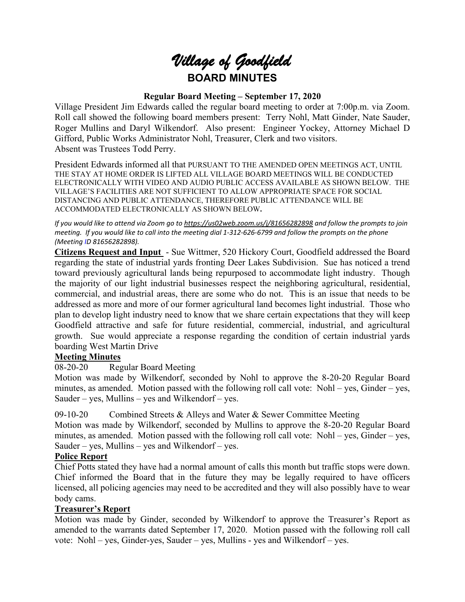# *Village of Goodfield* **BOARD MINUTES**

#### **Regular Board Meeting – September 17, 2020**

Village President Jim Edwards called the regular board meeting to order at 7:00p.m. via Zoom. Roll call showed the following board members present: Terry Nohl, Matt Ginder, Nate Sauder, Roger Mullins and Daryl Wilkendorf. Also present: Engineer Yockey, Attorney Michael D Gifford, Public Works Administrator Nohl, Treasurer, Clerk and two visitors. Absent was Trustees Todd Perry.

President Edwards informed all that PURSUANT TO THE AMENDED OPEN MEETINGS ACT, UNTIL THE STAY AT HOME ORDER IS LIFTED ALL VILLAGE BOARD MEETINGS WILL BE CONDUCTED ELECTRONICALLY WITH VIDEO AND AUDIO PUBLIC ACCESS AVAILABLE AS SHOWN BELOW. THE VILLAGE'S FACILITIES ARE NOT SUFFICIENT TO ALLOW APPROPRIATE SPACE FOR SOCIAL DISTANCING AND PUBLIC ATTENDANCE, THEREFORE PUBLIC ATTENDANCE WILL BE ACCOMMODATED ELECTRONICALLY AS SHOWN BELOW**.**

*If you would like to attend via Zoom go t[o https://us02web.zoom.us/j/81656282898](https://us02web.zoom.us/j/81656282898) and follow the prompts to join meeting. If you would like to call into the meeting dial 1-312-626-6799 and follow the prompts on the phone (Meeting ID 81656282898).*

**Citizens Request and Input** - Sue Wittmer, 520 Hickory Court, Goodfield addressed the Board regarding the state of industrial yards fronting Deer Lakes Subdivision. Sue has noticed a trend toward previously agricultural lands being repurposed to accommodate light industry. Though the majority of our light industrial businesses respect the neighboring agricultural, residential, commercial, and industrial areas, there are some who do not. This is an issue that needs to be addressed as more and more of our former agricultural land becomes light industrial. Those who plan to develop light industry need to know that we share certain expectations that they will keep Goodfield attractive and safe for future residential, commercial, industrial, and agricultural growth. Sue would appreciate a response regarding the condition of certain industrial yards boarding West Martin Drive

#### **Meeting Minutes**

08-20-20 Regular Board Meeting

Motion was made by Wilkendorf, seconded by Nohl to approve the 8-20-20 Regular Board minutes, as amended. Motion passed with the following roll call vote: Nohl – yes, Ginder – yes, Sauder – yes, Mullins – yes and Wilkendorf – yes.

09-10-20 Combined Streets & Alleys and Water & Sewer Committee Meeting

Motion was made by Wilkendorf, seconded by Mullins to approve the 8-20-20 Regular Board minutes, as amended. Motion passed with the following roll call vote: Nohl – yes, Ginder – yes, Sauder – yes, Mullins – yes and Wilkendorf – yes.

#### **Police Report**

Chief Potts stated they have had a normal amount of calls this month but traffic stops were down. Chief informed the Board that in the future they may be legally required to have officers licensed, all policing agencies may need to be accredited and they will also possibly have to wear body cams.

#### **Treasurer's Report**

Motion was made by Ginder, seconded by Wilkendorf to approve the Treasurer's Report as amended to the warrants dated September 17, 2020. Motion passed with the following roll call vote: Nohl – yes, Ginder-yes, Sauder – yes, Mullins - yes and Wilkendorf – yes.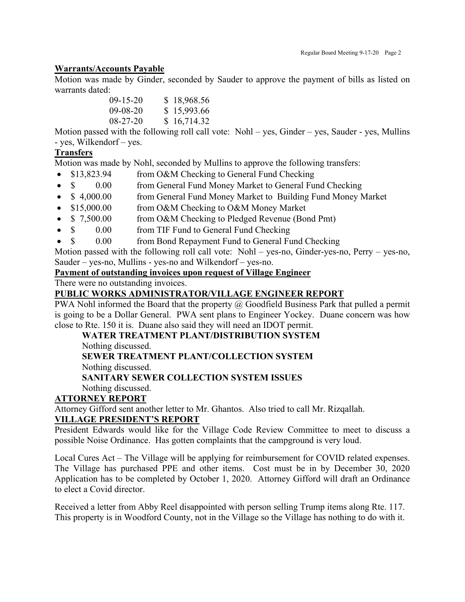#### **Warrants/Accounts Payable**

Motion was made by Ginder, seconded by Sauder to approve the payment of bills as listed on warrants dated:

| $(09-15-20)$   | \$18,968.56 |
|----------------|-------------|
| $09-08-20$     | \$15,993.66 |
| $08 - 27 - 20$ | \$16,714.32 |

Motion passed with the following roll call vote: Nohl – yes, Ginder – yes, Sauder - yes, Mullins - yes, Wilkendorf – yes.

#### **Transfers**

Motion was made by Nohl, seconded by Mullins to approve the following transfers:

- \$13,823.94 from O&M Checking to General Fund Checking
- \$ 0.00 from General Fund Money Market to General Fund Checking
- \$4,000.00 from General Fund Money Market to Building Fund Money Market
- \$15,000.00 from O&M Checking to O&M Money Market
- \$ 7,500.00 from O&M Checking to Pledged Revenue (Bond Pmt)
- \$ 0.00 from TIF Fund to General Fund Checking
- \$ 0.00 from Bond Repayment Fund to General Fund Checking

Motion passed with the following roll call vote: Nohl – yes-no, Ginder-yes-no, Perry – yes-no, Sauder – yes-no, Mullins - yes-no and Wilkendorf – yes-no.

#### **Payment of outstanding invoices upon request of Village Engineer**

There were no outstanding invoices.

### **PUBLIC WORKS ADMINISTRATOR/VILLAGE ENGINEER REPORT**

PWA Nohl informed the Board that the property @ Goodfield Business Park that pulled a permit is going to be a Dollar General. PWA sent plans to Engineer Yockey. Duane concern was how close to Rte. 150 it is. Duane also said they will need an IDOT permit.

### **WATER TREATMENT PLANT/DISTRIBUTION SYSTEM**

Nothing discussed.

# **SEWER TREATMENT PLANT/COLLECTION SYSTEM**

Nothing discussed.

# **SANITARY SEWER COLLECTION SYSTEM ISSUES**

# Nothing discussed.

# **ATTORNEY REPORT**

Attorney Gifford sent another letter to Mr. Ghantos. Also tried to call Mr. Rizqallah. **VILLAGE PRESIDENT'S REPORT**

President Edwards would like for the Village Code Review Committee to meet to discuss a possible Noise Ordinance. Has gotten complaints that the campground is very loud.

Local Cures Act – The Village will be applying for reimbursement for COVID related expenses. The Village has purchased PPE and other items. Cost must be in by December 30, 2020 Application has to be completed by October 1, 2020. Attorney Gifford will draft an Ordinance to elect a Covid director.

Received a letter from Abby Reel disappointed with person selling Trump items along Rte. 117. This property is in Woodford County, not in the Village so the Village has nothing to do with it.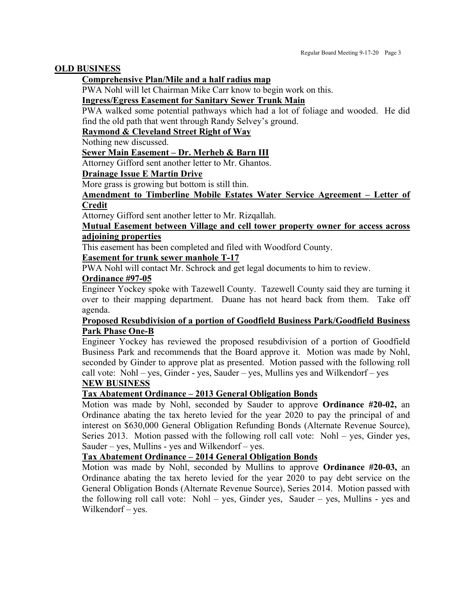#### **OLD BUSINESS**

#### **Comprehensive Plan/Mile and a half radius map**

PWA Nohl will let Chairman Mike Carr know to begin work on this.

#### **Ingress/Egress Easement for Sanitary Sewer Trunk Main**

PWA walked some potential pathways which had a lot of foliage and wooded. He did find the old path that went through Randy Selvey's ground.

#### **Raymond & Cleveland Street Right of Way**

Nothing new discussed.

#### **Sewer Main Easement – Dr. Merheb & Barn III**

Attorney Gifford sent another letter to Mr. Ghantos.

#### **Drainage Issue E Martin Drive**

More grass is growing but bottom is still thin.

#### **Amendment to Timberline Mobile Estates Water Service Agreement – Letter of Credit**

Attorney Gifford sent another letter to Mr. Rizqallah.

#### **Mutual Easement between Village and cell tower property owner for access across adjoining properties**

This easement has been completed and filed with Woodford County.

#### **Easement for trunk sewer manhole T-17**

PWA Nohl will contact Mr. Schrock and get legal documents to him to review.

#### **Ordinance #97-05**

Engineer Yockey spoke with Tazewell County. Tazewell County said they are turning it over to their mapping department. Duane has not heard back from them. Take off agenda.

#### **Proposed Resubdivision of a portion of Goodfield Business Park/Goodfield Business Park Phase One-B**

Engineer Yockey has reviewed the proposed resubdivision of a portion of Goodfield Business Park and recommends that the Board approve it. Motion was made by Nohl, seconded by Ginder to approve plat as presented. Motion passed with the following roll call vote: Nohl – yes, Ginder - yes, Sauder – yes, Mullins yes and Wilkendorf – yes

#### **NEW BUSINESS**

#### **Tax Abatement Ordinance – 2013 General Obligation Bonds**

Motion was made by Nohl, seconded by Sauder to approve **Ordinance #20-02,** an Ordinance abating the tax hereto levied for the year 2020 to pay the principal of and interest on \$630,000 General Obligation Refunding Bonds (Alternate Revenue Source), Series 2013. Motion passed with the following roll call vote: Nohl – yes, Ginder yes, Sauder – yes, Mullins - yes and Wilkendorf – yes.

#### **Tax Abatement Ordinance – 2014 General Obligation Bonds**

Motion was made by Nohl, seconded by Mullins to approve **Ordinance #20-03,** an Ordinance abating the tax hereto levied for the year 2020 to pay debt service on the General Obligation Bonds (Alternate Revenue Source), Series 2014. Motion passed with the following roll call vote: Nohl – yes, Ginder yes, Sauder – yes, Mullins - yes and Wilkendorf – yes.